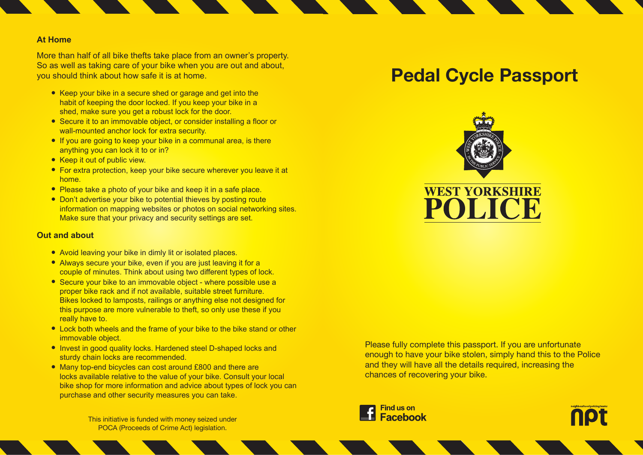### **At Home**

More than half of all bike thefts take place from an owner's property. So as well as taking care of your bike when you are out and about, you should think about how safe it is at home.

- Keep your bike in a secure shed or garage and get into the habit of keeping the door locked. If you keep your bike in a shed, make sure you get a robust lock for the door.
- Secure it to an immovable object, or consider installing a floor or wall-mounted anchor lock for extra security.
- If you are going to keep your bike in a communal area, is there anything you can lock it to or in?
- Keep it out of public view.
- For extra protection, keep your bike secure wherever you leave it at home.
- Please take a photo of your bike and keep it in a safe place.
- Don't advertise your bike to potential thieves by posting route information on mapping websites or photos on social networking sites. Make sure that your privacy and security settings are set.

#### **Out and about**

- Avoid leaving your bike in dimly lit or isolated places.
- Always secure your bike, even if you are just leaving it for a couple of minutes. Think about using two different types of lock.
- Secure your bike to an immovable object where possible use a proper bike rack and if not available, suitable street furniture. Bikes locked to lamposts, railings or anything else not designed for this purpose are more vulnerable to theft, so only use these if you really have to.
- Lock both wheels and the frame of your bike to the bike stand or other immovable object.
- Invest in good quality locks. Hardened steel D-shaped locks and sturdy chain locks are recommended.
- Many top-end bicycles can cost around £800 and there are locks available relative to the value of your bike. Consult your local bike shop for more information and advice about types of lock you can purchase and other security measures you can take.

This initiative is funded with money seized under POCA (Proceeds of Crime Act) legislation.

# **Pedal Cycle Passport**



Please fully complete this passport. If you are unfortunate enough to have your bike stolen, simply hand this to the Police and they will have all the details required, increasing the chances of recovering your bike.